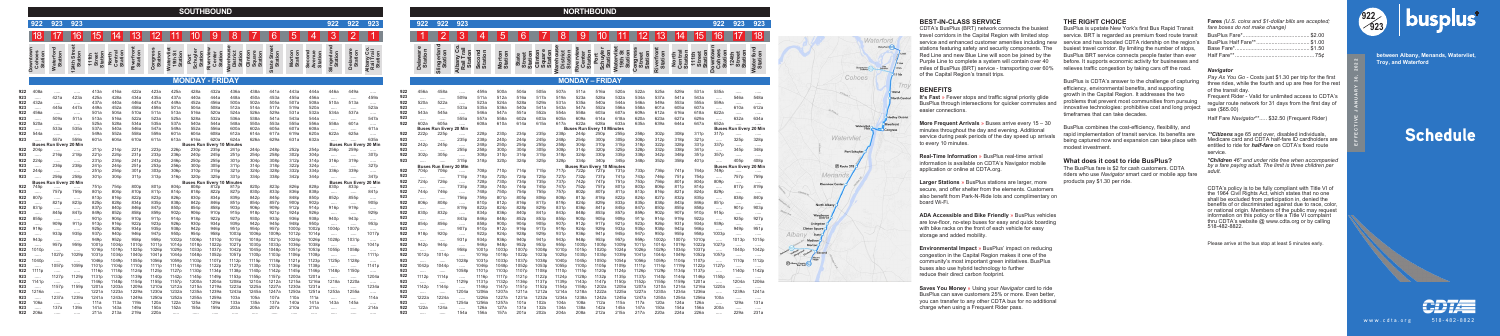**Fares** *(U.S. coins and \$1-dollar bills are accepted; fare boxes do not make change)*

#### *Navigator*

*Pay As You Go -* Costs just \$1.30 per trip for the first three rides, while the fourth and up are free for the rest of the transit day.

Frequent Rider - Valid for unlimited access to CDTA's regular route network for 31 days from the first day of use (\$65.00)

Half Fare *Navigator*\*\*..... \$32.50 (Frequent Rider)

*\*\*Citizens* age 65 and over, disabled individuals, Medicare card and CDTA half-fare ID cardholders are entitled to ride for *half-fare* on CDTA's fixed route service.

*\*Children 46" and under ride free when accompanied by a fare paying adult. The limit is three children per adult.*

CDTA's policy is to be fully compliant with Title VI of the 1964 Civil Rights Act, which states that no one shall be excluded from participation in, denied the benefits of or discriminated against due to race, color, or national origin. Members of the public may request information on this policy or file a Title VI complaint thru CDTA's website @ www.cdta.org or by calling 518-482-8822.

**between Albany, Menands, Watervliet, and Downtown Albany Troy, and Waterford**

# **Schedule**



Please arrive at the bus stop at least 5 minutes early.

# **BEST-IN-CLASS SERVICE**

# **BENEFITS**

**It's Fast** » Fewer stops and traffic signal priority glide BusPlus through intersections for quicker commutes and easier connections.

**More Frequent Arrivals** » Buses arrive every 15 – 30 minutes throughout the day and evening. Additional service during peak periods of the day speed up arrivals to every 10 minutes.

**Real-Time Information** » BusPlus real-time arrival information is available on CDTA's Navigator mobile application or online at CDTA.org.

**Larger Stations** » BusPlus stations are larger, more secure, and offer shelter from the elements. Customers also benefit from Park-N-Ride lots and complimentary on board Wi-Fi.

**ADA Accessible and Bike Friendly** » BusPlus vehicles are low-floor, no-step buses for easy and quick boarding with bike racks on the front of each vehicle for easy storage and added mobility.

**Environmental Impact** » BusPlus' impact on reducing congestion in the Capital Region makes it one of the community's most important green initiatives. BusPlus buses also use hybrid technology to further reduce their direct carbon footprint.

**Saves You Money** » Using your *Navigator* card to ride BusPlus can save customers 25% or more. Even better, you can transfer to any other CDTA bus for no additional charge when using a Frequent Rider pass.

www.cdta.org 518-482-8822

**EFFECTIVE JANUARY 30, 2022**

|                                               |                                                          |                                  |                                      |                                                      |                                                      |                                                      |                                                      |                                                      | <b>SOUTHBOUND</b>                                    |                                                      |                                                      |                                                      |                                                      |                                                      |                                                      |                                                                  |                                                          |                                                       |                                               |                                               |                                                         |                                                                      |                                                      |                                                      |                                                      |                                                      |                                                      | <b>NORTHBOUND</b>                                    |                                                      |  |
|-----------------------------------------------|----------------------------------------------------------|----------------------------------|--------------------------------------|------------------------------------------------------|------------------------------------------------------|------------------------------------------------------|------------------------------------------------------|------------------------------------------------------|------------------------------------------------------|------------------------------------------------------|------------------------------------------------------|------------------------------------------------------|------------------------------------------------------|------------------------------------------------------|------------------------------------------------------|------------------------------------------------------------------|----------------------------------------------------------|-------------------------------------------------------|-----------------------------------------------|-----------------------------------------------|---------------------------------------------------------|----------------------------------------------------------------------|------------------------------------------------------|------------------------------------------------------|------------------------------------------------------|------------------------------------------------------|------------------------------------------------------|------------------------------------------------------|------------------------------------------------------|--|
|                                               | 922                                                      | 923                              | 923                                  |                                                      |                                                      |                                                      |                                                      |                                                      |                                                      |                                                      |                                                      |                                                      |                                                      |                                                      |                                                      | 922                                                              | 922                                                      | 923                                                   |                                               | 922                                           | 922                                                     | 923                                                                  |                                                      |                                                      |                                                      |                                                      |                                                      |                                                      |                                                      |  |
|                                               |                                                          |                                  | 16                                   | 15 I                                                 | 14                                                   | 13                                                   | 12                                                   |                                                      | 10                                                   | 9                                                    | 8                                                    |                                                      | $6\overline{6}$                                      | $\vert 5 \vert$                                      | 4                                                    | $3\overline{)}$                                                  |                                                          |                                                       |                                               |                                               | $\overline{2}$                                          | 3                                                                    | 4                                                    | 5                                                    | 6                                                    |                                                      | 8                                                    | 9                                                    | 10 <sup>°</sup>                                      |  |
|                                               | owntown<br>Cohoes<br>Station                             | <b>Waterford</b><br>Station      | <b>Street</b><br>Station<br>4th      | <b>Street</b><br>Station<br><b>111th</b>             | <b>Central</b><br>Station<br><b>North</b>            | Riverfront<br>Station                                | Congress<br>Station                                  | Watervliet<br>19th St<br>Station                     | <b>Schuyler</b><br>Station<br>Port                   | Riverview<br><b>Center</b><br>Station                | /arehouse<br>District<br>Station                     | Clinton<br>Square<br>Station                         | <b>Street</b><br>Station<br><b>State</b>             | <b>Morton</b><br>Station                             | Second<br>venue<br>Station                           | Slingerland<br>Station                                           | Delaware<br>Station                                      | Albany Co.<br>Rail Trail<br>Station                   |                                               | <b>Delaware</b><br>Station                    | <b>Slingerland</b><br>Station                           | Albany Co.<br>Rail Trail<br>Station                                  | Second<br>Station                                    | <b>Morton</b><br>Station                             | <b>Street</b><br>Station<br>State                    | Clinton<br>Square<br>Station                         | /arehous<br>District<br>Station                      | Riverview<br><b>Station</b><br>Center                | <b>Schuyler</b><br>Station<br>Port                   |  |
|                                               |                                                          |                                  |                                      |                                                      |                                                      |                                                      |                                                      |                                                      | <b>MONDAY - FRIDAY</b>                               |                                                      |                                                      |                                                      |                                                      |                                                      |                                                      |                                                                  |                                                          |                                                       |                                               |                                               |                                                         |                                                                      |                                                      |                                                      |                                                      |                                                      |                                                      | <b>MONDAY - FRID</b>                                 |                                                      |  |
| 922<br>923<br>922<br>923<br>922<br>923<br>922 | 408a<br>1.1.1.1<br>432a<br>.<br>456a<br>$\cdots$<br>520a | 421a<br><br>445a<br><br>509a<br> | <br>423a<br><br>447a<br><br>511a<br> | 413a<br>425a<br>437a<br>449a<br>501a<br>513a<br>525a | 416a<br>428a<br>440a<br>452a<br>504a<br>516a<br>528a | 422a<br>434a<br>446a<br>458a<br>510a<br>522a<br>534a | 423a<br>435a<br>447a<br>459a<br>511a<br>523a<br>535a | 425a<br>437a<br>449a<br>501a<br>513a<br>525a<br>537a | 428a<br>440a<br>452a<br>504a<br>516a<br>528a<br>540a | 432a<br>444a<br>456a<br>508a<br>520a<br>532a<br>544a | 436a<br>448a<br>500a<br>512a<br>524a<br>536a<br>548a | 438a<br>450a<br>502a<br>514a<br>526a<br>538a<br>550a | 441a<br>453a<br>505a<br>517a<br>529a<br>541a<br>553a | 443a<br>455a<br>507a<br>519a<br>531a<br>543a<br>555a | 444a<br>456a<br>508a<br>520a<br>532a<br>544a<br>556a | 446a<br>$\cdots$<br>510a<br>$\cdots$<br>534a<br>$\cdots$<br>558a | 449a<br>$\cdots$<br>513a<br>$\cdots$<br>537a<br><br>601a | <br>459a<br>$\cdots$<br>523a<br>$\cdots$<br>547a<br>. | 922<br>923<br>922<br>923<br>922<br>923<br>922 | 456a<br>$\cdots$<br>520a<br>.<br>543a<br>602a | 458a<br>$\cdots$<br>522a<br>1.1.1.1<br>545a<br><br>605a | $\cdots$<br>509a<br>$\cdots$<br>533a<br>$\cdots$<br>555a<br>$\cdots$ | 459a<br>511a<br>523a<br>535a<br>546a<br>557a<br>608a | 500a<br>512a<br>524a<br>536a<br>547a<br>558a<br>610a | 504a<br>516a<br>528a<br>540a<br>551a<br>602a<br>614a | 505a<br>517a<br>529a<br>541a<br>552a<br>603a<br>615a | 507a<br>519a<br>531a<br>543a<br>554a<br>605a<br>617a | 511a<br>523a<br>535a<br>547a<br>558a<br>609a<br>622a | 516a<br>528a<br>540a<br>552a<br>603a<br>614a<br>628a |  |
| 923<br>922                                    | $\cdots$<br>544a                                         | 533a<br>                         | 535a<br>$\cdots$                     | 537a<br>549a                                         | 540a<br>552a                                         | 546a<br>558a                                         | 547a<br>559a                                         | 549a<br>601a                                         | 552a<br>604a                                         | 556a<br>608a                                         | 600a<br>612a                                         | 602a<br>614a                                         | 605a<br>617a                                         | 607a<br>619a                                         | 608a<br>620a                                         | $\cdots$<br>622a                                                 | $\cdots$<br>625a                                         | 611a<br>$\cdots$                                      | 922                                           | <b>Buses</b><br>222p                          | <b>Run Every</b><br>225p                                | 20 Min<br>$\cdots$                                                   | 228p                                                 | 230 <sub>p</sub>                                     | 234p                                                 | 235p                                                 | 238p                                                 | <b>Buses Run</b><br>244p                             | Every 10 Minu<br>250p                                |  |
| 923                                           | <b>Buses</b>                                             | 557a<br><b>Run Every</b>         | 559a<br>20 Min                       | 601a                                                 | 604a                                                 | 610a                                                 | 611a                                                 | 613a                                                 | 616a<br><b>Buses Run</b>                             | 620a<br><b>Every 10 Minutes</b>                      | 624a                                                 | 626a                                                 | 629a                                                 | 631a                                                 | 632a                                                 | $\cdots$<br>Buse                                                 | <br><b>Run Every</b>                                     | 635a<br>20 Mir                                        | 923<br>922                                    | <br>242p                                      | <br>245p                                                | 235p<br>$\cdots$                                                     | 238p<br>248p                                         | 240 <sub>p</sub><br>250p                             | 244p<br>254p                                         | 245p<br>255p                                         | 248p<br>258p                                         | 254 <sub>c</sub><br>304p                             | 300p<br>310p                                         |  |
| 922                                           | 204 <sub>p</sub>                                         | .                                | .                                    | 211p                                                 | 214p                                                 | 221p                                                 | 223p                                                 | 226p                                                 | 230p                                                 | 235p                                                 | 241 <sub>p</sub>                                     | 244p                                                 | 248p                                                 | 252p                                                 | 254 <sub>p</sub>                                     | 256p                                                             | 259p                                                     | .                                                     | 923                                           |                                               |                                                         | 255p                                                                 | 258p                                                 | 300p                                                 | 304 <sub>p</sub>                                     | 305p                                                 | 308p                                                 | 314p                                                 | 320p                                                 |  |
| 923<br>922                                    | $\cdots$<br>224p                                         | 216p<br>$\cdots$                 | 218p<br>$\cdots$                     | 221p<br>231p                                         | 224p<br>234p                                         | 231p<br>241 <sub>p</sub>                             | 233p<br>243p                                         | 236p<br>246 <sub>p</sub>                             | 240 <sub>p</sub><br>250p                             | 245 <sub>p</sub><br>255p                             | 251p<br>301p                                         | 254p<br>304p                                         | 258p<br>308p                                         | 302p<br>312p                                         | 304p<br>314p                                         | $\cdots$<br>316p                                                 | <br>319p                                                 | 307p<br>$\cdots \cdots$                               | 922<br>923                                    | 302p<br>                                      | 305p<br>$\cdots$                                        | $\cdots$<br>315p                                                     | 308p<br>318p                                         | 310 <sub>p</sub><br>320 <sub>p</sub>                 | 314p<br>324 <sub>p</sub>                             | 315p<br>325p                                         | 318p<br>328p                                         | 324p<br>334p                                         | 330p<br>340p                                         |  |
| 923                                           | $\cdots$                                                 | 236p                             | 238p                                 | 241 <sub>p</sub>                                     | 244p                                                 | 251p                                                 | 253p                                                 | 256p                                                 | 300 <sub>p</sub>                                     | 305p                                                 | 311 <sub>p</sub>                                     | 314p                                                 | 318p                                                 | 322p                                                 | 324p                                                 | $\cdots$                                                         | $\cdots$                                                 | 327p                                                  |                                               |                                               | <b>Buses Run Every</b>                                  | / 20 Min                                                             |                                                      |                                                      |                                                      |                                                      |                                                      | <b>Buses Rur</b>                                     | Every 10 Min                                         |  |
| 922                                           | 244 <sub>p</sub>                                         |                                  |                                      | 251p                                                 | 254p                                                 | 301p                                                 | 303p                                                 | 306p                                                 | 310 <sub>p</sub>                                     | 315p                                                 | 321p                                                 | 324p                                                 | 328p                                                 | 332p                                                 | 334p                                                 | 336p                                                             | 339p                                                     | .                                                     | 922                                           | 704p                                          | 706p                                                    | $\cdots$                                                             | 708p                                                 | 710 <sub>p</sub>                                     | 714 <sub>p</sub>                                     | 715p                                                 | 717p                                                 | 722p                                                 | 727 <sub>p</sub>                                     |  |
| 923                                           | $\cdots$                                                 | 256p                             | 258p                                 | 301p                                                 | 304p                                                 | 311 <sub>p</sub>                                     | 313p                                                 | 316p                                                 | 320p                                                 | 325p                                                 | 331p                                                 | 334p                                                 | 338p                                                 | 342p                                                 | 344 <sub>p</sub>                                     | .                                                                | .                                                        | 347p                                                  | 923<br>922                                    | $\cdots$<br>724p                              | <br>726p                                                | 715p                                                                 | 718p<br>728p                                         | 720p<br>730p                                         | 724p<br>734p                                         | 725p<br>735p                                         | 727p<br>737p                                         | 732p<br>742p                                         | 737p<br>747p                                         |  |
| 922                                           | <b>Buses</b><br>745 <sub>p</sub>                         | <b>Run Every</b><br>             | / 20 Min<br>                         | 751p                                                 | 754p                                                 | 800p                                                 | 801p                                                 | 804p                                                 | <b>Buses Ru</b><br>808p                              | <b>Every 10 Minutes</b><br>812p                      | 817p                                                 | 820p                                                 | 823p                                                 | 826p                                                 | 828p                                                 | <b>Buses</b><br>830p                                             | <b>Run Every</b><br>833p                                 | 20 Mir<br>                                            | 923                                           | $\cdots$                                      | $\cdots$                                                | $\cdots$<br>735p                                                     | 738p                                                 | 740p                                                 | 744p                                                 | 745p                                                 | 747 <sub>p</sub>                                     | 752p                                                 | 757p                                                 |  |
| 923                                           | $\cdots$                                                 | 757p                             | 759p                                 | 801p                                                 | 804p                                                 | 810p                                                 | 811p                                                 | 814 <sub>p</sub>                                     | 818p                                                 | 822p                                                 | 827p                                                 | 830p                                                 | 833p                                                 | 836p                                                 | 838p                                                 | $\cdots$                                                         |                                                          | 841 <sub>p</sub>                                      | 922                                           | 744 <sub>D</sub>                              | 746p                                                    | $\cdots$                                                             | 748p                                                 | 750p                                                 | 754p                                                 | 755p                                                 | 757p                                                 | 802p                                                 | 807p                                                 |  |
| 922                                           | 807 <sub>p</sub>                                         |                                  |                                      | 813p                                                 | 816p                                                 | 822p                                                 | 823p                                                 | 826p                                                 | 830p                                                 | 834p                                                 | 839p                                                 | 842p                                                 | 845p                                                 | 848p                                                 | 850p                                                 | 852p                                                             | 855p                                                     |                                                       | 923                                           |                                               | .                                                       | 756p                                                                 | 759 <sub>p</sub>                                     | 801p                                                 | 805p                                                 | 806p                                                 | 808p                                                 | 813p                                                 | 818p                                                 |  |
| 923                                           | $\cdots$                                                 | 821p                             | 823p                                 | 825p                                                 | 828p                                                 | 834p                                                 | 835p                                                 | 838p                                                 | 842p                                                 | 846p                                                 | 851p                                                 | 854p                                                 | 857p                                                 | 900p                                                 | 902p                                                 |                                                                  | .                                                        | 905p                                                  | 922                                           | 806p                                          | 808p                                                    | $\cdots$                                                             | 810 <sub>p</sub>                                     | 812p                                                 | 816p                                                 | 817p                                                 | 819p                                                 | 824p                                                 | 829p                                                 |  |
| 922                                           | 831p                                                     | $\cdots$                         | $\cdots$                             | 837p                                                 | 840p                                                 | 846p                                                 | 847p                                                 | 850p                                                 | 854p                                                 | 858p                                                 | 903 <sub>p</sub>                                     | 906p                                                 | 909p                                                 | 912p                                                 | 914 <sub>p</sub>                                     | 916 <sub>p</sub>                                                 | 919p                                                     | $\cdots$                                              | 923                                           | $\cdots$                                      | $\cdots$                                                | 819p                                                                 | 822p                                                 | 824p                                                 | 828p                                                 | 829p                                                 | 831p                                                 | 836p                                                 | 841p                                                 |  |
| 923                                           | $\cdots$                                                 | 845p                             | 847p                                 | 849p                                                 | 852p                                                 | 858p                                                 | 859p                                                 | 902p                                                 | 906p                                                 | 910 <sub>p</sub>                                     | 915p                                                 | 918p                                                 | 921p                                                 | 924p                                                 | 926 <sub>p</sub>                                     | $\cdots$                                                         | $\cdots$                                                 | 929p                                                  | 922                                           | 830p                                          | 832p                                                    | $\cdots$                                                             | 834p                                                 | 836p                                                 | 840p                                                 | 841p                                                 | 843p                                                 | 848p                                                 | 853p                                                 |  |
| 922                                           | 855p                                                     |                                  | $\cdots$                             | 901 <sub>p</sub>                                     | 904 <sub>p</sub>                                     | 910 <sub>p</sub>                                     | 911 <sub>p</sub>                                     | 914 <sub>p</sub>                                     | 918p                                                 | 922p                                                 | 927 <sub>p</sub>                                     | 930p                                                 | 933p                                                 | 936p                                                 | 938p                                                 | 940 <sub>p</sub>                                                 | 943 <sub>p</sub>                                         | .                                                     | 923                                           | $\cdots$                                      | 1.1.1.1                                                 | 843p                                                                 | 846p                                                 | 848p                                                 | 852p                                                 | 853p                                                 | 855p                                                 | 900p                                                 | 905 <sub>p</sub>                                     |  |
| 923<br>922                                    | $\cdots$<br>919p                                         | 909 <sub>p</sub>                 | 911 <sub>p</sub>                     | 913p<br>925p                                         | 916p<br>928p                                         | 922p<br>934p                                         | 923p<br>935p                                         | 926p<br>938p                                         | 930p<br>942p                                         | 934 <sub>p</sub><br>946 <sub>p</sub>                 | 939p<br>951 <sub>p</sub>                             | 942p<br>954p                                         | 945p<br>957p                                         | 948p<br>1000p                                        | 950 <sub>p</sub><br>1002p                            | $\cdots$<br>1004p                                                | <br>1007p                                                | 953p                                                  | 922<br>923                                    | 854p                                          | 856p                                                    | $\cdots$<br>907p                                                     | 858p<br>910 <sub>p</sub>                             | 900 <sub>p</sub><br>912p                             | 904 <sub>p</sub><br>916 <sub>p</sub>                 | 905p<br>917 <sub>p</sub>                             | 907 <sub>p</sub><br>919 <sub>p</sub>                 | 912p<br>924p                                         | 917 <sub>p</sub><br>929p                             |  |
| 923                                           | $\cdots$                                                 | <br>933p                         | .<br>935p                            | 937p                                                 | 940 <sub>p</sub>                                     | 946p                                                 | 947p                                                 | 950p                                                 | 954p                                                 | 958p                                                 | 1003p                                                | 1006p                                                | 1009p                                                | 1012p                                                | 1014p                                                | $\cdots$                                                         | $\cdots$                                                 | .<br>1017p                                            | 922                                           | <br>918p                                      | <br>920p                                                | $\cdots$                                                             | 922p                                                 | 924 <sub>p</sub>                                     | 928p                                                 | 929p                                                 | 931 <sub>p</sub>                                     | 936p                                                 | 941p                                                 |  |
| 922                                           | 943 <sub>p</sub>                                         |                                  | .                                    | 949p                                                 | 952p                                                 | 958p                                                 | 959p                                                 | 1002p                                                | 1006p                                                | 1010p                                                | 1015p                                                | 1018p                                                | 1021p                                                | 1024p                                                | 1026p                                                | 1028p                                                            | 1031p                                                    | $\cdots$                                              | 923                                           | $\cdots$                                      |                                                         | 931p                                                                 | 934 <sub>p</sub>                                     | 936 <sub>p</sub>                                     | 940 <sub>p</sub>                                     | 941 <sub>p</sub>                                     | 943 <sub>p</sub>                                     | 948p                                                 | 953p                                                 |  |
| 923                                           | $\cdots$                                                 | 957                              | 959p                                 | 1001p                                                | 1004p                                                | 1010p                                                | 1011p                                                | 1014p                                                | 1018p                                                | 1022p                                                | 1027p                                                | 1030p                                                | 1033p                                                | 1036p                                                | 038p                                                 | $\cdots$                                                         |                                                          | 1041p                                                 | 922                                           | 942p                                          | 944 p                                                   | $\cdots$                                                             | 946 <sub>p</sub>                                     | 948 <sub>p</sub>                                     | 952 <sub>p</sub>                                     | 953 <sub>c</sub>                                     | 955p                                                 | 1000p                                                | 1005p                                                |  |
| 922                                           | 1010 <sub>p</sub>                                        |                                  |                                      | 1016p                                                | 1019p                                                | 1025p                                                | 1026p                                                | 1029p                                                | 033p                                                 | 1037p                                                | 1042p                                                | 1045p                                                | 1048p                                                | 1051p                                                | 1053p                                                | 1055p                                                            | 1058p                                                    |                                                       | 923                                           |                                               |                                                         | 958p                                                                 | 1001p                                                | 1003p                                                | 007p                                                 | 1008p                                                | 1010p                                                | 1015p                                                |                                                      |  |
| 923                                           | $\dots$ .                                                | 102/p                            | 1029p                                | 1031p                                                | 1034p                                                | 1040p                                                | 1041p                                                | 1044p                                                | 1048p                                                | 1052p                                                | 105/p                                                | 1100p                                                | 1103p                                                | 1106p                                                | 1108p                                                | $\cdots \cdots$                                                  | $\cdots$                                                 | 1111p                                                 |                                               | 1012p                                         | 1014p                                                   | $\cdots$                                                             | 1016p                                                | 1018p                                                | 1022p                                                | 1023p                                                | 1025p                                                | 1030p                                                | 1035p                                                |  |
| 922                                           | 1040p                                                    | $\cdots$                         | $\dots$ .                            | 1046p                                                | 1049p                                                | 1055p                                                | 1056p                                                | 1059p                                                | 1103p                                                | 1107p                                                | 1112p                                                | 1115p                                                | 1118p                                                | 1121p                                                | 1123p                                                | 1125p                                                            | 1128p                                                    | .                                                     | 923                                           | $\cdots$                                      | $\dots$                                                 | 1028p                                                                | 1031p                                                | 1033p                                                | 1037p                                                | 1038p                                                | 1040p                                                | 1045p                                                | 1050p                                                |  |
| 923                                           | $\sim$                                                   | 1057p                            | 1059p                                | 1101 <sub>p</sub>                                    | 1104p                                                | 1110p                                                | 1111p                                                | 1114p                                                | 1118p                                                | 1122p                                                | 1127p                                                | 1130p                                                | 1133p                                                | 1136p                                                | 1138p                                                | $\dots$ .                                                        | $\cdots$                                                 | 1141p                                                 | 922                                           | 1042p                                         | 1044p                                                   | $\dots$ .                                                            | 1046p                                                | 1048p                                                | 1052p                                                | 1053p                                                | 1055p                                                | 1100p                                                | 1105p                                                |  |
| 922                                           | 1111p                                                    | $\cdots$                         | $\dots$ .                            | 1116p                                                | 1118p                                                | 1124p                                                | 1125p                                                | 1127p                                                | 1130p                                                | 1134p                                                | 1138p                                                | 1140p                                                | 1142p                                                | 1145p                                                | 1146p                                                | 1148p                                                            | 1150p                                                    | $\cdots$                                              | 923                                           | $\dots$ .                                     | $\cdots$                                                | 1058p                                                                | 1101p                                                | 1103p                                                | 1107p                                                | 1108p                                                | 1110p                                                | 1115p                                                | 1120p                                                |  |
| 923<br>922                                    | $\cdots$<br>1141p                                        | 1127p                            | 1129p<br>$\ldots$ .                  | 1131p<br>1146p                                       | 1133p<br>1148p                                       | 1139p<br>1154p                                       | 1140p<br>1155p                                       | 1142p<br>1157p                                       | 1145p<br>1200a                                       | 1149p<br>1204a                                       | 1153p<br>1208a                                       | 1155p<br>1210a                                       | 1157p<br>1212a                                       | 1200a<br>1215a                                       | 1201a<br>1216a                                       | $\cdots$<br>1218a                                                | $\cdots$<br>1220a                                        | 1204a                                                 | 922<br>923                                    | 1112p                                         | 1114p                                                   | $\cdots$<br>1129p                                                    | 1116p<br>1131p                                       | 1117p<br>1132p                                       | 1121p<br>1136p                                       | 1122p<br>1137p                                       | 1124p<br>1139p                                       | 1128p<br>1143p                                       | 1132p<br>1147p                                       |  |
| 923                                           | $\sim$                                                   | $\cdots$<br>1157p                | 1159p                                | 1201a                                                | 1203a                                                | 1209a                                                | 1210a                                                | 1212a                                                | 1215a                                                | 1219a                                                | 1223a                                                | 1225a                                                | 1227a                                                | 1230a                                                | 1231a                                                | $\cdots$                                                         | $\cdots$                                                 | $\cdots$<br>1234a                                     | 922                                           | $\dots$ .<br>1142p                            | $\cdots$<br>1144p                                       | $\cdots$                                                             | 1146p                                                | 1147p                                                | 1151p                                                | 1152p                                                | 1154p                                                | 1158p                                                | 1202a                                                |  |
| 922                                           | 1216a                                                    | $\dots$ .                        | $\sim$                               | 1221a                                                | 1223a                                                | 1229a                                                | 1230a                                                | 1232a                                                | 1235a                                                | 1239a                                                | 1243a                                                | 1245a                                                | 1247a                                                | 1250a                                                | 1251a                                                | 1253a                                                            | 1255a                                                    | $\dots$ .                                             | 923                                           | $\sim$                                        | $\ldots$ .                                              | 1204a                                                                | 1206a                                                | 1207a                                                | 1211a                                                | 1212a                                                | 1214a                                                | 1218a                                                | 1222a                                                |  |
| 923                                           | $\cdots$                                                 | 1237a                            | 1239a                                | 1241a                                                | 1243a                                                | 1249a                                                | 1250a                                                | 1252a                                                | 1255a                                                | 1259a                                                | 103a                                                 | 105a                                                 | 107a                                                 | 110a                                                 | 111a                                                 | $\cdots$                                                         | $\cdots$                                                 | 114a                                                  | 922                                           | 1222a                                         | 1224a                                                   | $\cdots$                                                             | 1226a                                                | 1227a                                                | 1231a                                                | 1232a                                                | 1234a                                                | 1238a                                                | 1242a                                                |  |
| 922                                           | 106a                                                     | $\cdots$                         | $\ldots$                             | 111a                                                 | 113a                                                 | 119a                                                 | 120a                                                 | 122a                                                 | 125a                                                 | 129a                                                 | 133a                                                 | 135a                                                 | 137a                                                 | 140a                                                 | 141a                                                 | 143a                                                             | 145a                                                     | $\cdots$                                              | 923                                           | $\cdots$                                      | $\cdots$                                                | 1254a                                                                | 1256a                                                | 1257a                                                | 101a                                                 | 102a                                                 | 104a                                                 | 108a                                                 | 112a                                                 |  |
| 923                                           | $\cdots$                                                 | 137a                             | 139a                                 | 141a                                                 | 143a                                                 | 149a                                                 | 150a                                                 | 152a                                                 | 155a                                                 | 159a                                                 | 203a                                                 | 205a                                                 | 207a                                                 | 210a                                                 | 211a                                                 | $\cdots$                                                         |                                                          | 214a                                                  | 922                                           | 122a                                          | 124a                                                    | $\cdots$                                                             | 126a                                                 | 127a                                                 | 131a                                                 | 132a                                                 | 134a                                                 | 138a                                                 | 142a                                                 |  |
|                                               | 922 206a                                                 |                                  |                                      | 211a                                                 | 213a                                                 | 219a                                                 | 220a                                                 | $\cdots$                                             |                                                      |                                                      |                                                      |                                                      |                                                      |                                                      |                                                      |                                                                  |                                                          |                                                       | 923                                           |                                               |                                                         | 154a                                                                 | 156a                                                 | 157a                                                 | 201a                                                 | 202a                                                 | 204a                                                 | 208a                                                 | 212a                                                 |  |

| 922                        | 922                           | 923                                                        |                          |                          |                                                 |                              |                                                |                                       |                             |                                                |                                             |                           |                                           |                                          | 922                                  | 923                                      | 923                  |  |
|----------------------------|-------------------------------|------------------------------------------------------------|--------------------------|--------------------------|-------------------------------------------------|------------------------------|------------------------------------------------|---------------------------------------|-----------------------------|------------------------------------------------|---------------------------------------------|---------------------------|-------------------------------------------|------------------------------------------|--------------------------------------|------------------------------------------|----------------------|--|
|                            | 2                             | 3                                                          | 4                        | 5                        | 6                                               |                              | 8                                              | 9                                     | 10                          |                                                |                                             | 13                        | 14                                        | 15                                       | 16                                   |                                          | 18                   |  |
| <b>Delaware</b><br>Station | Slingerland<br><b>Station</b> | <u>ငိ</u><br>Rail Trail<br><b>Station</b><br><b>Albany</b> | Second<br><b>Station</b> | Morton<br>Station        | <b>Station</b><br><b>Street</b><br><b>State</b> | Clinton<br>Square<br>Station | <b>Warehouse</b><br><b>District</b><br>Station | Riverview<br>Center<br><b>Station</b> | Schuyler<br>Station<br>Port | <b>Watervliet</b><br>19th St<br><b>Station</b> | Congress<br><b>Station</b><br><b>Street</b> | Riverfront<br>Station     | Central<br><b>Station</b><br><b>North</b> | <b>Station</b><br><b>Street</b><br>111th | Downtown<br>Cohoes<br><b>Station</b> | Station<br><b>Street</b><br><b>124th</b> | Waterford<br>Station |  |
|                            |                               |                                                            |                          |                          |                                                 |                              |                                                | <b>MONDAY - FRIDAY</b>                |                             |                                                |                                             |                           |                                           |                                          |                                      |                                          |                      |  |
| 456a                       | 458a                          | $\cdots$                                                   | 459a                     | 500a                     | 504a                                            | 505a                         | 507a                                           | 511a                                  | 516a                        | 520a                                           | 522a                                        | 525a                      | 529a                                      | 531a                                     | 535a                                 |                                          |                      |  |
| $\cdots$                   | $\cdots$                      | 509a                                                       | 511a                     | 512a                     | 516a                                            | 517a                         | 519a                                           | 523a                                  | 528a                        | 532a                                           | 534a                                        | 537a                      | 541a                                      | 543a                                     | $\cdots$                             | 546a                                     | 548a                 |  |
| 520a                       | 522a                          | $\cdots$                                                   | 523a                     | 524a                     | 528a                                            | 529a                         | 531a                                           | 535a                                  | 540a                        | 544a                                           | 546a                                        | 549a                      | 553a                                      | 555a                                     | 559a                                 |                                          |                      |  |
|                            |                               | 533a                                                       | 535a                     | 536a                     | 540a                                            | 541a                         | 543a                                           | 547a                                  | 552a                        | 556a                                           | 558a                                        | 601a                      | 605a                                      | 607a                                     |                                      | 610a                                     | 612a                 |  |
| 543a                       | 545a                          |                                                            | 546a                     | 547a                     | 551a                                            | 552a                         | 554a                                           | 558a                                  | 603a                        | 607a                                           | 609a                                        | 612a                      | 616a                                      | 618a                                     | 622a                                 | .                                        |                      |  |
|                            |                               | 555a                                                       | 557a                     | 558a                     | 602a                                            | 603a                         | 605a                                           | 609a                                  | 614a                        | 618a                                           | 620a                                        | 623a                      | 627a                                      | 629a                                     |                                      | 632a                                     | 634a                 |  |
| 602a                       | 605a                          |                                                            | 608a                     | 610a                     | 614a                                            | 615a                         | 617a                                           | 622a                                  | 628a                        | 633a                                           | 635a                                        | 639a                      | 644a                                      | 647a                                     | 652a                                 |                                          |                      |  |
|                            | Buses Run Every 20 Min        |                                                            |                          |                          |                                                 |                              |                                                | <b>Buses Run Every 10 Minutes</b>     |                             |                                                |                                             |                           |                                           |                                          |                                      | <b>Buses Run Every</b>                   | 20 Min               |  |
| 222p                       | 225p                          |                                                            | 228p                     | 230 <sub>p</sub>         | 234p                                            | 235p                         | 238p                                           | 244p                                  | 250p                        | 255p                                           | 258p                                        | 302p                      | 308p                                      | 311p                                     | 317p                                 |                                          |                      |  |
|                            | $\cdots$                      | 235p                                                       | 238p                     | 240p                     | 244p                                            | 245p                         | 248p                                           | 254p                                  | 300p                        | 305p                                           | 308p                                        | 312p                      | 318p                                      | 321p                                     | $\cdots$                             | 325p                                     | 328p                 |  |
| 242p                       | 245p                          | $\cdots$<br>255p                                           | 248p                     | 250p                     | 254p<br>304p                                    | 255p                         | 258p                                           | 304p                                  | 310p                        | 315p                                           | 318p                                        | 322p                      | 328p                                      | 331p                                     | 337p                                 | <br>345p                                 |                      |  |
| <br>302p                   | $\cdots$<br>305p              |                                                            | 258p<br>308p             | 300 <sub>p</sub><br>310p | 314p                                            | 305p<br>315p                 | 308p<br>318p                                   | 314p<br>324p                          | 320p<br>330p                | 325p<br>335p                                   | 328p<br>338p                                | 332p<br>342p              | 338p<br>348p                              | 341p<br>351p                             | $\cdots$<br>357p                     |                                          | 348p                 |  |
|                            |                               | $\cdots$<br>315p                                           | 318p                     | 320p                     | 324p                                            | 325p                         | 328p                                           | 334p                                  | 340p                        | 345p                                           | 348p                                        | 352p                      | 358p                                      | 401p                                     |                                      | <br>405p                                 | <br>408p             |  |
| <b>Buses</b>               | <br>Run Every 20 Min          |                                                            |                          |                          |                                                 |                              |                                                | <b>Buses Run Ey</b>                   | very 10 Minutes             |                                                |                                             |                           |                                           |                                          |                                      | <b>Buses Run Every 20 Min</b>            |                      |  |
| 704p                       | 706p                          |                                                            | 708p                     | 710p                     | 714p                                            | 715p                         | 717p                                           | 722p                                  | 727p                        | 731p                                           | 733p                                        | 736p                      | 741p                                      | 744p                                     | 749p                                 |                                          |                      |  |
|                            | $\cdots$                      | 715p                                                       | 718p                     | 720p                     | 724p                                            | 725p                         | 727p                                           | 732p                                  | 737p                        | 741 <sub>p</sub>                               | 743p                                        | 746p                      | 751p                                      | 754p                                     | $\cdots$                             | 757p                                     | 759p                 |  |
| 724p                       | 726p                          | $\cdots$                                                   | 728p                     | 730 <sub>p</sub>         | 734p                                            | 735p                         | 737p                                           | 742p                                  | 747 <sub>p</sub>            | 751p                                           | 753p                                        | 756p                      | 801p                                      | 804p                                     | 809p                                 | $\cdots$                                 | $\cdots$             |  |
|                            | $\cdots$                      | 735p                                                       | 738p                     | 740p                     | 744p                                            | 745p                         | 747p                                           | 752p                                  | 757p                        | 801p                                           | 803p                                        | 806p                      | 811p                                      | 814p                                     |                                      | 817p                                     | 819p                 |  |
| 744p                       | 746p                          |                                                            | 748p                     | 750p                     | 754p                                            | 755p                         | 757p                                           | 802p                                  | 807p                        | 811p                                           | 813p                                        | 816p                      | 821p                                      | 824p                                     | 829p                                 |                                          |                      |  |
|                            |                               | 756p                                                       | 759p                     | 801p                     | 805p                                            | 806p                         | 808p                                           | 813p                                  | 818p                        | 822p                                           | 824p                                        | 827p                      | 832p                                      | 835p                                     |                                      | 838p                                     | 840p                 |  |
| 806p                       | 808p                          |                                                            | 810p                     | 812p                     | 816p                                            | 817p                         | 819p                                           | 824p                                  | 829p                        | 833p                                           | 835p                                        | 838p                      | 843p                                      | 846p                                     | 851p                                 | $\cdots$                                 |                      |  |
|                            |                               | 819p                                                       | 822p                     | 824p                     | 828p                                            | 829p                         | 831p                                           | 836p                                  | 841p                        | 845p                                           | 847p                                        | 850p                      | 855p                                      | 858p                                     |                                      | 901p                                     | 903p                 |  |
| 830p                       | 832p                          | $\cdots$                                                   | 834p                     | 836p                     | 840p                                            | 841p                         | 843p                                           | 848p                                  | 853p                        | 857p                                           | 859p                                        | 902p                      | 907p                                      | 910p                                     | 915p                                 |                                          |                      |  |
|                            |                               | 843p                                                       | 846p                     | 848p                     | 852p                                            | 853p                         | 855p                                           | 900 <sub>p</sub>                      | 905p                        | 909p                                           | 911 <sub>p</sub>                            | 914 <sub>p</sub>          | 919p                                      | 922p                                     |                                      | 925p                                     | 927p                 |  |
| 854p                       | 856p                          | $\cdots$                                                   | 858p                     | 900 <sub>p</sub>         | 904p                                            | 905p                         | 907 <sub>p</sub>                               | 912p                                  | 917p                        | 921p                                           | 923p                                        | 926 <sub>p</sub>          | 931p                                      | 934p                                     | 939p                                 |                                          |                      |  |
|                            | $\cdots$                      | 907p                                                       | 910 <sub>p</sub>         | 912p                     | 916 <sub>p</sub>                                | 917p                         | 919p                                           | 924p                                  | 929p                        | 933p                                           | 935p                                        | 938p                      | 943p                                      | 946p                                     | $\cdots$                             | 949p                                     | 951p                 |  |
| 918p                       | 920p                          | $\cdots$<br>931p                                           | 922p<br>934p             | 924p<br>936 <sub>p</sub> | 928p<br>940p                                    | 929p<br>941 <sub>p</sub>     | 931 <sub>p</sub><br>943 <sub>p</sub>           | 936 <sub>p</sub><br>948p              | 941 <sub>p</sub><br>953p    | 945p<br>957p                                   | 947 <sub>p</sub><br>959p                    | 950 <sub>p</sub><br>1002p | 955p<br>1007p                             | 958p<br>1010p                            | 1003p                                | $\cdots$<br>1013p                        | <br>1015p            |  |
| <br>942p                   | <br>944p                      |                                                            | 946p                     | 948p                     | 952p                                            | 953p                         | 955p                                           | 1000 <sub>p</sub>                     | 1005p                       | 1009p                                          | 1011p                                       | 1014p                     | 1019p                                     | 1022p                                    | <br>1027p                            |                                          |                      |  |
|                            |                               | <br>958p                                                   | 1001p                    | 1003p                    | 1007p                                           | 1008p                        | 1010p                                          | 1015p                                 | 1020p                       | 1024p                                          | 1026p                                       | 1029p                     | 1034p                                     | 1037p                                    |                                      | <br>1040p                                | <br>1042p            |  |
| <br>1012p                  | <br>1014p                     |                                                            | 1016p                    | 1018p                    | 1022p                                           | 1023p                        | 1025p                                          | 1030p                                 | 1035p                       | 1039p                                          | 1041p                                       | 1044p                     | 1049p                                     | 1052p                                    | $\cdots$<br>1057p                    | $\cdots$                                 |                      |  |
|                            |                               | 1028p                                                      | 1031 <sub>p</sub>        | 1033p                    | 1037p                                           | 1038p                        | 1040p                                          | 1045p                                 | 1050p                       | 1054p                                          | 1056p                                       | 1059p                     | 1104 <sub>p</sub>                         | 1107p                                    |                                      | 1110 <sub>p</sub>                        | 1112p                |  |
| 1042p                      | 1044p                         |                                                            | 1046p                    | 1048p                    | 1052p                                           | 1053p                        | 1055p                                          | 1100p                                 | 1105p                       | 1109p                                          | 1111p                                       | 1114p                     | 1119p                                     | 1122p                                    | 1127p                                |                                          |                      |  |
| $\cdots$                   | $\ldots$ .                    | 1058p                                                      | 1101p                    | 1103p                    | 1107p                                           | 1108p                        | 1110p                                          | 1115p                                 | 1120p                       | 1124p                                          | 1126p                                       | 1129p                     | 1134p                                     | 1137p                                    | $\cdots$                             | 1140p                                    | 1142p                |  |
| 1112p                      | 1114p                         | $\ldots$ .                                                 | 1116p                    | 1117p                    | 1121p                                           | 1122p                        | 1124p                                          | 1128p                                 | 1132p                       | 1135p                                          | 1137p                                       | 1140p                     | 1144p                                     | 1146p                                    | 1150p                                | $\dots$ .                                | $\cdots$             |  |
| $\cdots$                   | $\dots$ .                     | 1129p                                                      | 1131p                    | 1132p                    | 1136p                                           | 1137p                        | 1139p                                          | 1143p                                 | 1147p                       | 1150p                                          | 1152p                                       | 1155p                     | 1159p                                     | 1201a                                    | $\cdots$                             | 1204a                                    | 1206a                |  |
| 1142p                      | 1144p                         | $\dots$ .                                                  | 1146p                    | 1147p                    | 1151p                                           | 1152p                        | 1154p                                          | 1158p                                 | 1202a                       | 1205a                                          | 1207a                                       | 1210a                     | 1214a                                     | 1216a                                    | 1220a                                | $\dots$                                  | $\cdots$             |  |
| $\cdots$                   | $\cdots$                      | 1204a                                                      | 1206a                    | 1207a                    | 1211a                                           | 1212a                        | 1214a                                          | 1218a                                 | 1222a                       | 1225a                                          | 1227a                                       | 1230a                     | 1234a                                     | 1236a                                    | $\cdots$                             | 1239a                                    | 1241a                |  |
| 1222a                      | 1224a                         | $\dots$ .                                                  | 1226a                    | 1227a                    | 1231a                                           | 1232a                        | 1234a                                          | 1238a                                 | 1242a                       | 1245a                                          | 1247a                                       | 1250a                     | 1254a                                     | 1256a                                    | 100a                                 | $\cdots$                                 | $\cdots$             |  |
| $\cdots$                   | $\cdots$                      | 1254a                                                      | 1256a                    | 1257a                    | 101a                                            | 102a                         | 104a                                           | 108a                                  | 112a                        | 115a                                           | 117a                                        | 120a                      | 124a                                      | 126a                                     | $\cdots$                             | 129a                                     | 131a                 |  |
| 122a                       | 124a                          | $\dots$ .                                                  | 126a                     | 127a                     | 131a                                            | 132a                         | 134a                                           | 138a                                  | 142a                        | 145a                                           | 147a                                        | 150a                      | 154a                                      | 156a                                     | 200a                                 | $\cdots$                                 | $\cdots$             |  |
| $\cdots$                   | $\cdots$                      | 154a                                                       | 156a                     | 157a                     | 201a                                            | 202a                         | 204a                                           | 208a                                  | 212a                        | 215a                                           | 217a                                        | 220a                      | 224a                                      | 226a                                     | $\dots$ .                            | 229a                                     | 231a                 |  |



CDTA's BusPlus (BRT) network connects the busiest travel corridors in the Capital Region with limited stop service and enhanced customer amenities including new service and has boosted CDTA ridership on the region's stations featuring safety and security components. The Red Line and new Blue Line will soon be joined by the Purple Line to complete a system will contain over 40 miles of BusPlus (BRT) service - transporting over 60% of the Capital Region's transit trips. BusPlus is upstate New York's first Bus Rapid Transit service. BRT is regarded as premium fixed route transit busiest travel corridor. By limiting the number of stops, BusPlus BRT service connects people faster than ever before. It supports economic activity for businesses and relieves traffic congestion by taking cars off the road.



**MAY 28, 2017** 

## **THE RIGHT CHOICE**

BusPlus is CDTA's answer to the challenge of capturing efficiency, environmental benefits, and supporting growth in the Capital Region. It addresses the two problems that prevent most communities from pursuing innovative technologies: prohibitive cost and long project timeframes that can take decades.

BusPlus combines the cost-efficiency, flexibility, and rapid implementation of transit service. Its benefits are being captured now and expansion can take place with modest investment.

### **What does it cost to ride BusPlus?**

The BusPlus fare is \$2 for cash customers. CDTA riders who use *Navigator* smart card or mobile app fare products pay \$1.30 per ride.